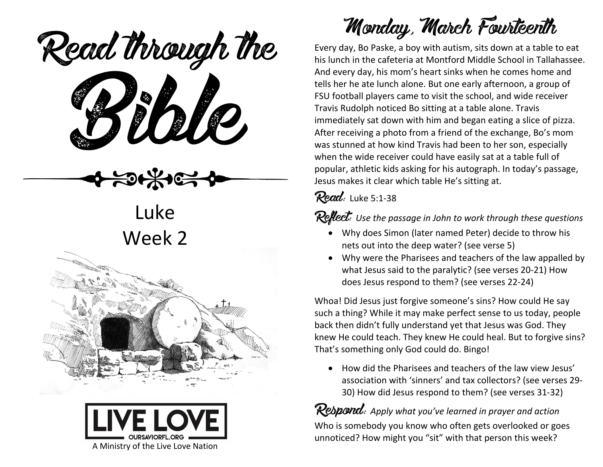eaa mough Read through the

Luke Week 2





## Monday, March Fourteenth

Every day, Bo Paske, a boy with autism, sits down at a table to eat his lunch in the cafeteria at Montford Middle School in Tallahassee. And every day, his mom's heart sinks when he comes home and tells her he ate lunch alone. But one early afternoon, a group of FSU football players came to visit the school, and wide receiver Travis Rudolph noticed Bo sitting at a table alone. Travis immediately sat down with him and began eating a slice of pizza. After receiving a photo from a friend of the exchange, Bo's mom was stunned at how kind Travis had been to her son, especially when the wide receiver could have easily sat at a table full of popular, athletic kids asking for his autograph. In today's passage, Jesus makes it clear which table He's sitting at.

Read: Luke 5:1-38

#### Reflect: Use the passage in John to work through these questions

- Why does Simon (later named Peter) decide to throw his nets out into the deep water? (see verse 5)
- Why were the Pharisees and teachers of the law appalled by what Jesus said to the paralytic? (see verses 20-21) How does Jesus respond to them? (see verses 22-24)

Whoa! Did Jesus just forgive someone's sins? How could He say such a thing? While it may make perfect sense to us today, people back then didn't fully understand yet that Jesus was God. They knew He could teach. They knew He could heal. But to forgive sins? That's something only God could do. Bingo!

• How did the Pharisees and teachers of the law view Jesus' association with 'sinners' and tax collectors? (see verses 29- 30) How did Jesus respond to them? (see verses 31-32)

Respond: *Apply what you've learned in prayer and action* Who is somebody you know who often gets overlooked or goes unnoticed? How might you "sit" with that person this week?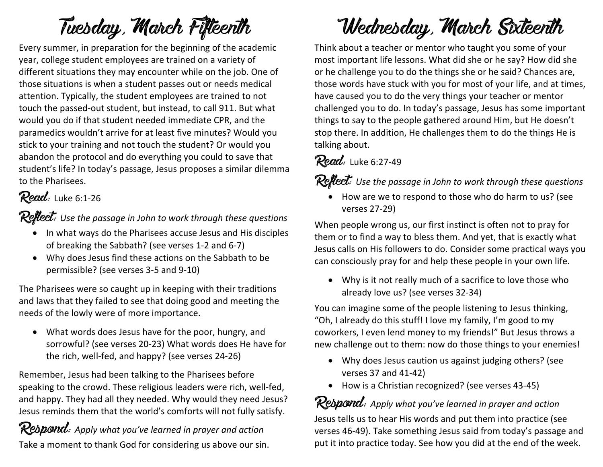## Tuesday, March Fifteenth

Every summer, in preparation for the beginning of the academic year, college student employees are trained on a variety of different situations they may encounter while on the job. One of those situations is when a student passes out or needs medical attention. Typically, the student employees are trained to not touch the passed-out student, but instead, to call 911. But what would you do if that student needed immediate CPR, and the paramedics wouldn't arrive for at least five minutes? Would you stick to your training and not touch the student? Or would you abandon the protocol and do everything you could to save that student's life? In today's passage, Jesus proposes a similar dilemma to the Pharisees.

#### Read: Luke 6:1-26

Reflect: Use the passage in John to work through these questions

- In what ways do the Pharisees accuse Jesus and His disciples of breaking the Sabbath? (see verses 1-2 and 6-7)
- Why does Jesus find these actions on the Sabbath to be permissible? (see verses 3-5 and 9-10)

The Pharisees were so caught up in keeping with their traditions and laws that they failed to see that doing good and meeting the needs of the lowly were of more importance.

• What words does Jesus have for the poor, hungry, and sorrowful? (see verses 20-23) What words does He have for the rich, well-fed, and happy? (see verses 24-26)

Remember, Jesus had been talking to the Pharisees before speaking to the crowd. These religious leaders were rich, well-fed, and happy. They had all they needed. Why would they need Jesus? Jesus reminds them that the world's comforts will not fully satisfy.

Respond: *Apply what you've learned in prayer and action* Take a moment to thank God for considering us above our sin.

# Wednesday, March Sixteenth

Think about a teacher or mentor who taught you some of your most important life lessons. What did she or he say? How did she or he challenge you to do the things she or he said? Chances are, those words have stuck with you for most of your life, and at times, have caused you to do the very things your teacher or mentor challenged you to do. In today's passage, Jesus has some important things to say to the people gathered around Him, but He doesn't stop there. In addition, He challenges them to do the things He is talking about.

## $Read:$  Luke 6:27-49

Reflect: *Use the passage in John to work through these questions*

• How are we to respond to those who do harm to us? (see verses 27-29)

When people wrong us, our first instinct is often not to pray for them or to find a way to bless them. And yet, that is exactly what Jesus calls on His followers to do. Consider some practical ways you can consciously pray for and help these people in your own life.

• Why is it not really much of a sacrifice to love those who already love us? (see verses 32-34)

You can imagine some of the people listening to Jesus thinking, "Oh, I already do this stuff! I love my family, I'm good to my coworkers, I even lend money to my friends!" But Jesus throws a new challenge out to them: now do those things to your enemies!

- Why does Jesus caution us against judging others? (see verses 37 and 41-42)
- How is a Christian recognized? (see verses 43-45)

#### Respond: *Apply what you've learned in prayer and action*

Jesus tells us to hear His words and put them into practice (see verses 46-49). Take something Jesus said from today's passage and put it into practice today. See how you did at the end of the week.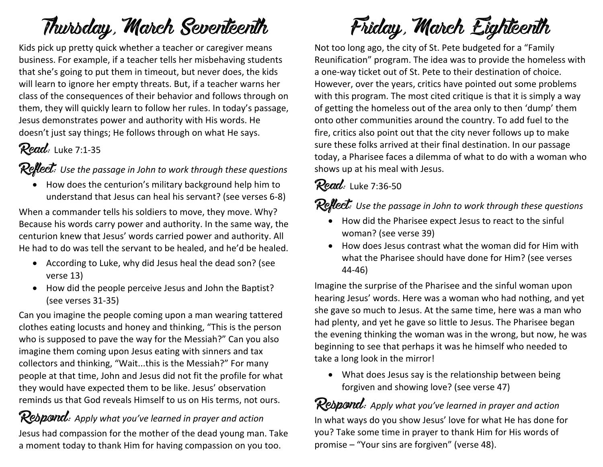## Thursday, March Seventeenth

Kids pick up pretty quick whether a teacher or caregiver means business. For example, if a teacher tells her misbehaving students that she's going to put them in timeout, but never does, the kids will learn to ignore her empty threats. But, if a teacher warns her class of the consequences of their behavior and follows through on them, they will quickly learn to follow her rules. In today's passage, Jesus demonstrates power and authority with His words. He doesn't just say things; He follows through on what He says.

### $Read:$  Luke 7:1-35

Reflect: Use the passage in John to work through these questions

• How does the centurion's military background help him to understand that Jesus can heal his servant? (see verses 6-8)

When a commander tells his soldiers to move, they move. Why? Because his words carry power and authority. In the same way, the centurion knew that Jesus' words carried power and authority. All He had to do was tell the servant to be healed, and he'd be healed.

- According to Luke, why did Jesus heal the dead son? (see verse 13)
- How did the people perceive Jesus and John the Baptist? (see verses 31-35)

Can you imagine the people coming upon a man wearing tattered clothes eating locusts and honey and thinking, "This is the person who is supposed to pave the way for the Messiah?" Can you also imagine them coming upon Jesus eating with sinners and tax collectors and thinking, "Wait...this is the Messiah?" For many people at that time, John and Jesus did not fit the profile for what they would have expected them to be like. Jesus' observation reminds us that God reveals Himself to us on His terms, not ours.

Rebpond: Apply what you've learned in prayer and action Jesus had compassion for the mother of the dead young man. Take a moment today to thank Him for having compassion on you too.



Not too long ago, the city of St. Pete budgeted for a "Family Reunification" program. The idea was to provide the homeless with a one-way ticket out of St. Pete to their destination of choice. However, over the years, critics have pointed out some problems with this program. The most cited critique is that it is simply a way of getting the homeless out of the area only to then 'dump' them onto other communities around the country. To add fuel to the fire, critics also point out that the city never follows up to make sure these folks arrived at their final destination. In our passage today, a Pharisee faces a dilemma of what to do with a woman who shows up at his meal with Jesus.

### **Read:** Luke 7:36-50

**Reflect:** Use the passage in John to work through these questions

- How did the Pharisee expect Jesus to react to the sinful woman? (see verse 39)
- How does Jesus contrast what the woman did for Him with what the Pharisee should have done for Him? (see verses 44-46)

Imagine the surprise of the Pharisee and the sinful woman upon hearing Jesus' words. Here was a woman who had nothing, and yet she gave so much to Jesus. At the same time, here was a man who had plenty, and yet he gave so little to Jesus. The Pharisee began the evening thinking the woman was in the wrong, but now, he was beginning to see that perhaps it was he himself who needed to take a long look in the mirror!

• What does Jesus say is the relationship between being forgiven and showing love? (see verse 47)

Respond: *Apply what you've learned in prayer and action* In what ways do you show Jesus' love for what He has done for you? Take some time in prayer to thank Him for His words of promise – "Your sins are forgiven" (verse 48).